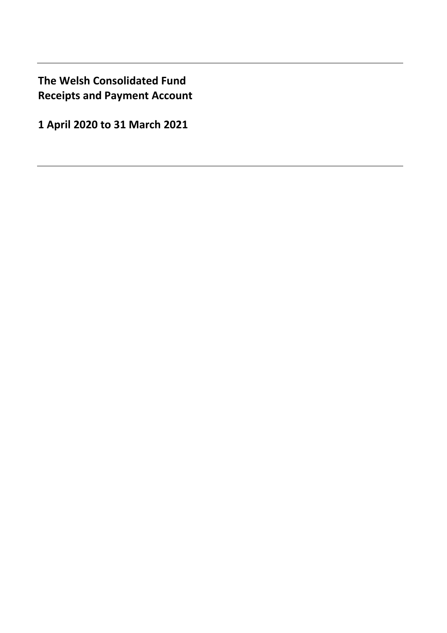**The Welsh Consolidated Fund Receipts and Payment Account** 

**1 April 2020 to 31 March 2021**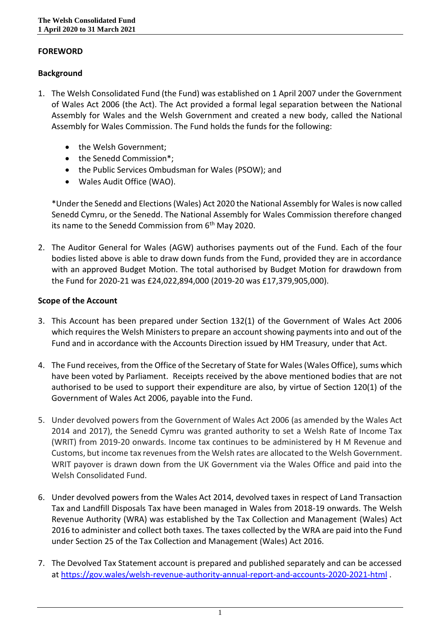# **FOREWORD**

# **Background**

- 1. The Welsh Consolidated Fund (the Fund) was established on 1 April 2007 under the Government of Wales Act 2006 (the Act). The Act provided a formal legal separation between the National Assembly for Wales and the Welsh Government and created a new body, called the National Assembly for Wales Commission. The Fund holds the funds for the following:
	- the Welsh Government;
	- the Senedd Commission\*;
	- the Public Services Ombudsman for Wales (PSOW); and
	- Wales Audit Office (WAO).

\*Under the Senedd and Elections (Wales) Act 2020 the National Assembly for Wales is now called Senedd Cymru, or the Senedd. The National Assembly for Wales Commission therefore changed its name to the Senedd Commission from 6<sup>th</sup> May 2020.

2. The Auditor General for Wales (AGW) authorises payments out of the Fund. Each of the four bodies listed above is able to draw down funds from the Fund, provided they are in accordance with an approved Budget Motion. The total authorised by Budget Motion for drawdown from the Fund for 2020-21 was £24,022,894,000 (2019-20 was £17,379,905,000).

# **Scope of the Account**

- 3. This Account has been prepared under Section 132(1) of the Government of Wales Act 2006 which requires the Welsh Ministers to prepare an account showing payments into and out of the Fund and in accordance with the Accounts Direction issued by HM Treasury, under that Act.
- 4. The Fund receives, from the Office of the Secretary of State for Wales (Wales Office), sums which have been voted by Parliament. Receipts received by the above mentioned bodies that are not authorised to be used to support their expenditure are also, by virtue of Section 120(1) of the Government of Wales Act 2006, payable into the Fund.
- 5. Under devolved powers from the Government of Wales Act 2006 (as amended by the Wales Act 2014 and 2017), the Senedd Cymru was granted authority to set a Welsh Rate of Income Tax (WRIT) from 2019-20 onwards. Income tax continues to be administered by H M Revenue and Customs, but income tax revenues from the Welsh rates are allocated to the Welsh Government. WRIT payover is drawn down from the UK Government via the Wales Office and paid into the Welsh Consolidated Fund.
- 6. Under devolved powers from the Wales Act 2014, devolved taxes in respect of Land Transaction Tax and Landfill Disposals Tax have been managed in Wales from 2018-19 onwards. The Welsh Revenue Authority (WRA) was established by the Tax Collection and Management (Wales) Act 2016 to administer and collect both taxes. The taxes collected by the WRA are paid into the Fund under Section 25 of the Tax Collection and Management (Wales) Act 2016.
- 7. The Devolved Tax Statement account is prepared and published separately and can be accessed at <https://gov.wales/welsh-revenue-authority-annual-report-and-accounts-2020-2021-html> .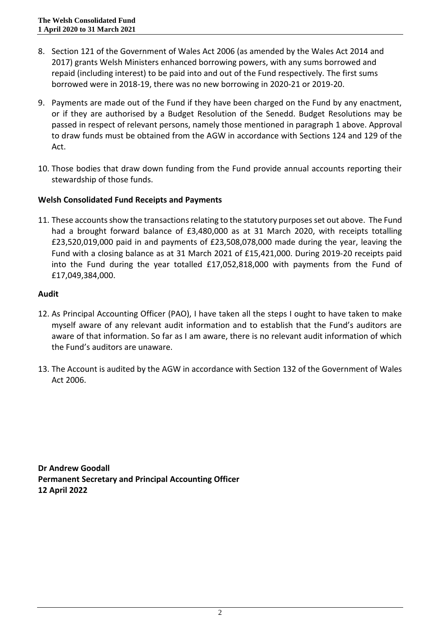- 8. Section 121 of the Government of Wales Act 2006 (as amended by the Wales Act 2014 and 2017) grants Welsh Ministers enhanced borrowing powers, with any sums borrowed and repaid (including interest) to be paid into and out of the Fund respectively. The first sums borrowed were in 2018-19, there was no new borrowing in 2020-21 or 2019-20.
- 9. Payments are made out of the Fund if they have been charged on the Fund by any enactment, or if they are authorised by a Budget Resolution of the Senedd. Budget Resolutions may be passed in respect of relevant persons, namely those mentioned in paragraph 1 above. Approval to draw funds must be obtained from the AGW in accordance with Sections 124 and 129 of the Act.
- 10. Those bodies that draw down funding from the Fund provide annual accounts reporting their stewardship of those funds.

# **Welsh Consolidated Fund Receipts and Payments**

11. These accounts show the transactions relating to the statutory purposes set out above. The Fund had a brought forward balance of £3,480,000 as at 31 March 2020, with receipts totalling £23,520,019,000 paid in and payments of £23,508,078,000 made during the year, leaving the Fund with a closing balance as at 31 March 2021 of £15,421,000. During 2019-20 receipts paid into the Fund during the year totalled £17,052,818,000 with payments from the Fund of £17,049,384,000.

### **Audit**

- 12. As Principal Accounting Officer (PAO), I have taken all the steps I ought to have taken to make myself aware of any relevant audit information and to establish that the Fund's auditors are aware of that information. So far as I am aware, there is no relevant audit information of which the Fund's auditors are unaware.
- 13. The Account is audited by the AGW in accordance with Section 132 of the Government of Wales Act 2006.

**Dr Andrew Goodall Permanent Secretary and Principal Accounting Officer 12 April 2022**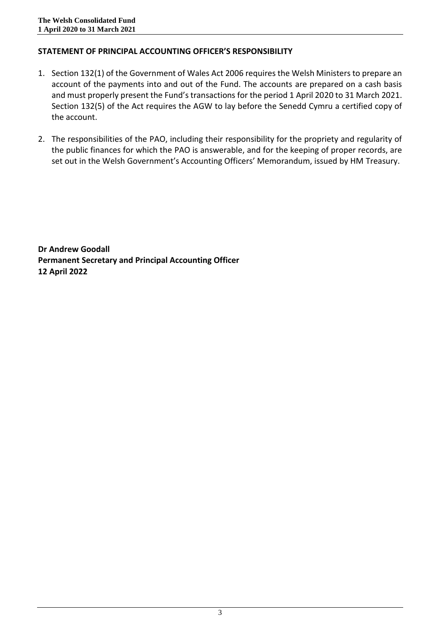# **STATEMENT OF PRINCIPAL ACCOUNTING OFFICER'S RESPONSIBILITY**

- 1. Section 132(1) of the Government of Wales Act 2006 requires the Welsh Ministers to prepare an account of the payments into and out of the Fund. The accounts are prepared on a cash basis and must properly present the Fund's transactions for the period 1 April 2020 to 31 March 2021. Section 132(5) of the Act requires the AGW to lay before the Senedd Cymru a certified copy of the account.
- 2. The responsibilities of the PAO, including their responsibility for the propriety and regularity of the public finances for which the PAO is answerable, and for the keeping of proper records, are set out in the Welsh Government's Accounting Officers' Memorandum, issued by HM Treasury.

**Dr Andrew Goodall Permanent Secretary and Principal Accounting Officer 12 April 2022**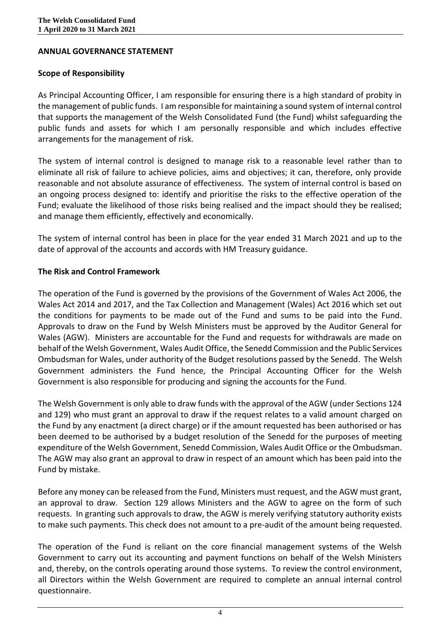### **ANNUAL GOVERNANCE STATEMENT**

### **Scope of Responsibility**

As Principal Accounting Officer, I am responsible for ensuring there is a high standard of probity in the management of public funds. I am responsible for maintaining a sound system of internal control that supports the management of the Welsh Consolidated Fund (the Fund) whilst safeguarding the public funds and assets for which I am personally responsible and which includes effective arrangements for the management of risk.

The system of internal control is designed to manage risk to a reasonable level rather than to eliminate all risk of failure to achieve policies, aims and objectives; it can, therefore, only provide reasonable and not absolute assurance of effectiveness. The system of internal control is based on an ongoing process designed to: identify and prioritise the risks to the effective operation of the Fund; evaluate the likelihood of those risks being realised and the impact should they be realised; and manage them efficiently, effectively and economically.

The system of internal control has been in place for the year ended 31 March 2021 and up to the date of approval of the accounts and accords with HM Treasury guidance.

### **The Risk and Control Framework**

The operation of the Fund is governed by the provisions of the Government of Wales Act 2006, the Wales Act 2014 and 2017, and the Tax Collection and Management (Wales) Act 2016 which set out the conditions for payments to be made out of the Fund and sums to be paid into the Fund. Approvals to draw on the Fund by Welsh Ministers must be approved by the Auditor General for Wales (AGW). Ministers are accountable for the Fund and requests for withdrawals are made on behalf of the Welsh Government, Wales Audit Office, the Senedd Commission and the Public Services Ombudsman for Wales, under authority of the Budget resolutions passed by the Senedd. The Welsh Government administers the Fund hence, the Principal Accounting Officer for the Welsh Government is also responsible for producing and signing the accounts for the Fund.

The Welsh Government is only able to draw funds with the approval of the AGW (under Sections 124 and 129) who must grant an approval to draw if the request relates to a valid amount charged on the Fund by any enactment (a direct charge) or if the amount requested has been authorised or has been deemed to be authorised by a budget resolution of the Senedd for the purposes of meeting expenditure of the Welsh Government, Senedd Commission, Wales Audit Office or the Ombudsman. The AGW may also grant an approval to draw in respect of an amount which has been paid into the Fund by mistake.

Before any money can be released from the Fund, Ministers must request, and the AGW must grant, an approval to draw. Section 129 allows Ministers and the AGW to agree on the form of such requests. In granting such approvals to draw, the AGW is merely verifying statutory authority exists to make such payments. This check does not amount to a pre-audit of the amount being requested.

The operation of the Fund is reliant on the core financial management systems of the Welsh Government to carry out its accounting and payment functions on behalf of the Welsh Ministers and, thereby, on the controls operating around those systems. To review the control environment, all Directors within the Welsh Government are required to complete an annual internal control questionnaire.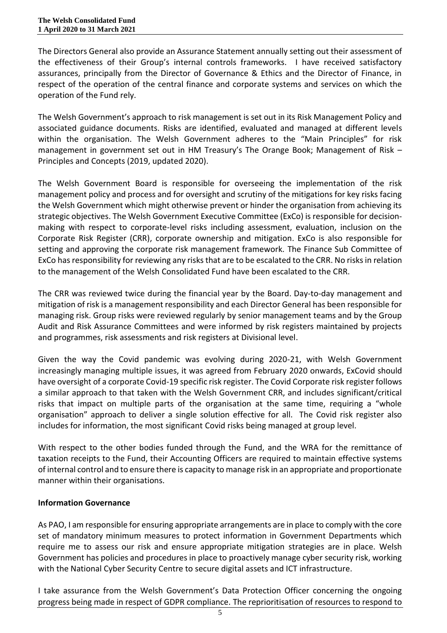The Directors General also provide an Assurance Statement annually setting out their assessment of the effectiveness of their Group's internal controls frameworks. I have received satisfactory assurances, principally from the Director of Governance & Ethics and the Director of Finance, in respect of the operation of the central finance and corporate systems and services on which the operation of the Fund rely.

The Welsh Government's approach to risk management is set out in its Risk Management Policy and associated guidance documents. Risks are identified, evaluated and managed at different levels within the organisation. The Welsh Government adheres to the "Main Principles" for risk management in government set out in HM Treasury's The Orange Book; Management of Risk – Principles and Concepts (2019, updated 2020).

The Welsh Government Board is responsible for overseeing the implementation of the risk management policy and process and for oversight and scrutiny of the mitigations for key risks facing the Welsh Government which might otherwise prevent or hinder the organisation from achieving its strategic objectives. The Welsh Government Executive Committee (ExCo) is responsible for decisionmaking with respect to corporate-level risks including assessment, evaluation, inclusion on the Corporate Risk Register (CRR), corporate ownership and mitigation. ExCo is also responsible for setting and approving the corporate risk management framework. The Finance Sub Committee of ExCo has responsibility for reviewing any risks that are to be escalated to the CRR. No risks in relation to the management of the Welsh Consolidated Fund have been escalated to the CRR.

The CRR was reviewed twice during the financial year by the Board. Day-to-day management and mitigation of risk is a management responsibility and each Director General has been responsible for managing risk. Group risks were reviewed regularly by senior management teams and by the Group Audit and Risk Assurance Committees and were informed by risk registers maintained by projects and programmes, risk assessments and risk registers at Divisional level.

Given the way the Covid pandemic was evolving during 2020-21, with Welsh Government increasingly managing multiple issues, it was agreed from February 2020 onwards, ExCovid should have oversight of a corporate Covid-19 specific risk register. The Covid Corporate risk register follows a similar approach to that taken with the Welsh Government CRR, and includes significant/critical risks that impact on multiple parts of the organisation at the same time, requiring a "whole organisation" approach to deliver a single solution effective for all. The Covid risk register also includes for information, the most significant Covid risks being managed at group level.

With respect to the other bodies funded through the Fund, and the WRA for the remittance of taxation receipts to the Fund, their Accounting Officers are required to maintain effective systems of internal control and to ensure there is capacity to manage risk in an appropriate and proportionate manner within their organisations.

# **Information Governance**

As PAO, I am responsible for ensuring appropriate arrangements are in place to comply with the core set of mandatory minimum measures to protect information in Government Departments which require me to assess our risk and ensure appropriate mitigation strategies are in place. Welsh Government has policies and procedures in place to proactively manage cyber security risk, working with the National Cyber Security Centre to secure digital assets and ICT infrastructure.

I take assurance from the Welsh Government's Data Protection Officer concerning the ongoing progress being made in respect of GDPR compliance. The reprioritisation of resources to respond to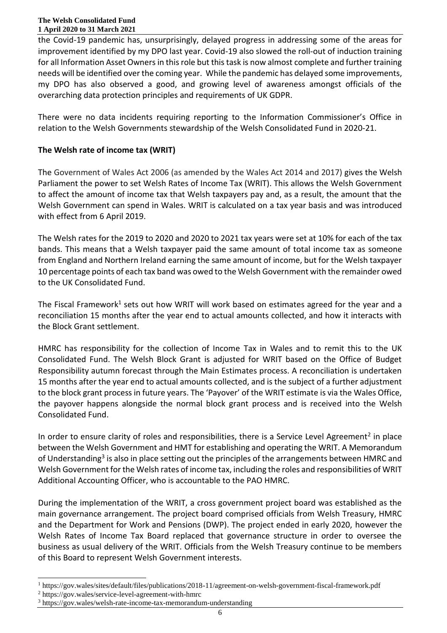the Covid-19 pandemic has, unsurprisingly, delayed progress in addressing some of the areas for improvement identified by my DPO last year. Covid-19 also slowed the roll-out of induction training for all Information Asset Owners in this role but this task is now almost complete and further training needs will be identified over the coming year. While the pandemic has delayed some improvements, my DPO has also observed a good, and growing level of awareness amongst officials of the overarching data protection principles and requirements of UK GDPR.

There were no data incidents requiring reporting to the Information Commissioner's Office in relation to the Welsh Governments stewardship of the Welsh Consolidated Fund in 2020-21.

# **The Welsh rate of income tax (WRIT)**

The Government of Wales Act 2006 (as amended by the Wales Act 2014 and 2017) gives the Welsh Parliament the power to set Welsh Rates of Income Tax (WRIT). This allows the Welsh Government to affect the amount of income tax that Welsh taxpayers pay and, as a result, the amount that the Welsh Government can spend in Wales. WRIT is calculated on a tax year basis and was introduced with effect from 6 April 2019.

The Welsh rates for the 2019 to 2020 and 2020 to 2021 tax years were set at 10% for each of the tax bands. This means that a Welsh taxpayer paid the same amount of total income tax as someone from England and Northern Ireland earning the same amount of income, but for the Welsh taxpayer 10 percentage points of each tax band was owed to the Welsh Government with the remainder owed to the UK Consolidated Fund. 

The Fiscal Framework<sup>1</sup> sets out how WRIT will work based on estimates agreed for the year and a reconciliation 15 months after the year end to actual amounts collected, and how it interacts with the Block Grant settlement.

HMRC has responsibility for the collection of Income Tax in Wales and to remit this to the UK Consolidated Fund. The Welsh Block Grant is adjusted for WRIT based on the Office of Budget Responsibility autumn forecast through the Main Estimates process. A reconciliation is undertaken 15 months after the year end to actual amounts collected, and is the subject of a further adjustment to the block grant process in future years. The 'Payover' of the WRIT estimate is via the Wales Office, the payover happens alongside the normal block grant process and is received into the Welsh Consolidated Fund.

In order to ensure clarity of roles and responsibilities, there is a Service Level Agreement<sup>2</sup> in place between the Welsh Government and HMT for establishing and operating the WRIT. A Memorandum of Understanding<sup>3</sup> is also in place setting out the principles of the arrangements between HMRC and Welsh Government for the Welsh rates of income tax, including the roles and responsibilities of WRIT Additional Accounting Officer, who is accountable to the PAO HMRC.

During the implementation of the WRIT, a cross government project board was established as the main governance arrangement. The project board comprised officials from Welsh Treasury, HMRC and the Department for Work and Pensions (DWP). The project ended in early 2020, however the Welsh Rates of Income Tax Board replaced that governance structure in order to oversee the business as usual delivery of the WRIT. Officials from the Welsh Treasury continue to be members of this Board to represent Welsh Government interests.

 $\overline{a}$ <sup>1</sup> https://gov.wales/sites/default/files/publications/2018-11/agreement-on-welsh-government-fiscal-framework.pdf

<sup>2</sup> https://gov.wales/service-level-agreement-with-hmrc

<sup>3</sup> https://gov.wales/welsh-rate-income-tax-memorandum-understanding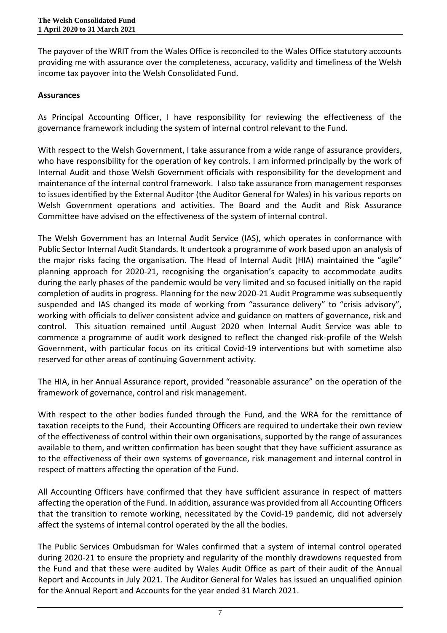The payover of the WRIT from the Wales Office is reconciled to the Wales Office statutory accounts providing me with assurance over the completeness, accuracy, validity and timeliness of the Welsh income tax payover into the Welsh Consolidated Fund.

# **Assurances**

As Principal Accounting Officer, I have responsibility for reviewing the effectiveness of the governance framework including the system of internal control relevant to the Fund.

With respect to the Welsh Government, I take assurance from a wide range of assurance providers, who have responsibility for the operation of key controls. I am informed principally by the work of Internal Audit and those Welsh Government officials with responsibility for the development and maintenance of the internal control framework. I also take assurance from management responses to issues identified by the External Auditor (the Auditor General for Wales) in his various reports on Welsh Government operations and activities. The Board and the Audit and Risk Assurance Committee have advised on the effectiveness of the system of internal control.

The Welsh Government has an Internal Audit Service (IAS), which operates in conformance with Public Sector Internal Audit Standards. It undertook a programme of work based upon an analysis of the major risks facing the organisation. The Head of Internal Audit (HIA) maintained the "agile" planning approach for 2020-21, recognising the organisation's capacity to accommodate audits during the early phases of the pandemic would be very limited and so focused initially on the rapid completion of audits in progress. Planning for the new 2020-21 Audit Programme was subsequently suspended and IAS changed its mode of working from "assurance delivery" to "crisis advisory", working with officials to deliver consistent advice and guidance on matters of governance, risk and control. This situation remained until August 2020 when Internal Audit Service was able to commence a programme of audit work designed to reflect the changed risk-profile of the Welsh Government, with particular focus on its critical Covid-19 interventions but with sometime also reserved for other areas of continuing Government activity.

The HIA, in her Annual Assurance report, provided "reasonable assurance" on the operation of the framework of governance, control and risk management.

With respect to the other bodies funded through the Fund, and the WRA for the remittance of taxation receipts to the Fund, their Accounting Officers are required to undertake their own review of the effectiveness of control within their own organisations, supported by the range of assurances available to them, and written confirmation has been sought that they have sufficient assurance as to the effectiveness of their own systems of governance, risk management and internal control in respect of matters affecting the operation of the Fund.

All Accounting Officers have confirmed that they have sufficient assurance in respect of matters affecting the operation of the Fund. In addition, assurance was provided from all Accounting Officers that the transition to remote working, necessitated by the Covid-19 pandemic, did not adversely affect the systems of internal control operated by the all the bodies.

The Public Services Ombudsman for Wales confirmed that a system of internal control operated during 2020-21 to ensure the propriety and regularity of the monthly drawdowns requested from the Fund and that these were audited by Wales Audit Office as part of their audit of the Annual Report and Accounts in July 2021. The Auditor General for Wales has issued an unqualified opinion for the Annual Report and Accounts for the year ended 31 March 2021.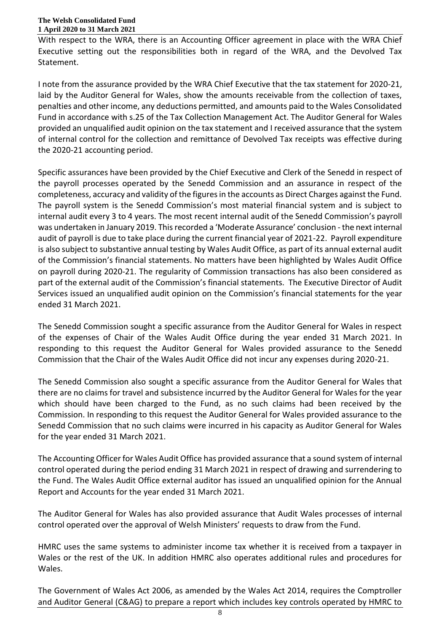With respect to the WRA, there is an Accounting Officer agreement in place with the WRA Chief Executive setting out the responsibilities both in regard of the WRA, and the Devolved Tax Statement.

I note from the assurance provided by the WRA Chief Executive that the tax statement for 2020-21, laid by the Auditor General for Wales, show the amounts receivable from the collection of taxes, penalties and other income, any deductions permitted, and amounts paid to the Wales Consolidated Fund in accordance with s.25 of the Tax Collection Management Act. The Auditor General for Wales provided an unqualified audit opinion on the tax statement and I received assurance that the system of internal control for the collection and remittance of Devolved Tax receipts was effective during the 2020-21 accounting period.

Specific assurances have been provided by the Chief Executive and Clerk of the Senedd in respect of the payroll processes operated by the Senedd Commission and an assurance in respect of the completeness, accuracy and validity of the figures in the accounts as Direct Charges against the Fund. The payroll system is the Senedd Commission's most material financial system and is subject to internal audit every 3 to 4 years. The most recent internal audit of the Senedd Commission's payroll was undertaken in January 2019. This recorded a 'Moderate Assurance' conclusion - the next internal audit of payroll is due to take place during the current financial year of 2021-22. Payroll expenditure is also subject to substantive annual testing by Wales Audit Office, as part of its annual external audit of the Commission's financial statements. No matters have been highlighted by Wales Audit Office on payroll during 2020-21. The regularity of Commission transactions has also been considered as part of the external audit of the Commission's financial statements. The Executive Director of Audit Services issued an unqualified audit opinion on the Commission's financial statements for the year ended 31 March 2021.

The Senedd Commission sought a specific assurance from the Auditor General for Wales in respect of the expenses of Chair of the Wales Audit Office during the year ended 31 March 2021. In responding to this request the Auditor General for Wales provided assurance to the Senedd Commission that the Chair of the Wales Audit Office did not incur any expenses during 2020-21.

The Senedd Commission also sought a specific assurance from the Auditor General for Wales that there are no claims for travel and subsistence incurred by the Auditor General for Wales for the year which should have been charged to the Fund, as no such claims had been received by the Commission. In responding to this request the Auditor General for Wales provided assurance to the Senedd Commission that no such claims were incurred in his capacity as Auditor General for Wales for the year ended 31 March 2021.

The Accounting Officer for Wales Audit Office has provided assurance that a sound system of internal control operated during the period ending 31 March 2021 in respect of drawing and surrendering to the Fund. The Wales Audit Office external auditor has issued an unqualified opinion for the Annual Report and Accounts for the year ended 31 March 2021.

The Auditor General for Wales has also provided assurance that Audit Wales processes of internal control operated over the approval of Welsh Ministers' requests to draw from the Fund.

HMRC uses the same systems to administer income tax whether it is received from a taxpayer in Wales or the rest of the UK. In addition HMRC also operates additional rules and procedures for Wales.

The Government of Wales Act 2006, as amended by the Wales Act 2014, requires the Comptroller and Auditor General (C&AG) to prepare a report which includes key controls operated by HMRC to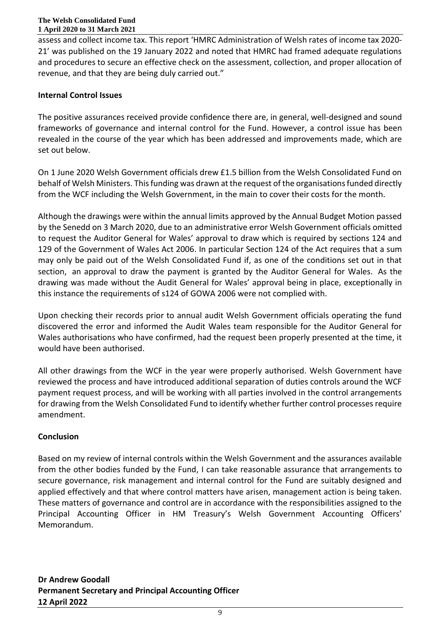assess and collect income tax. This report 'HMRC Administration of Welsh rates of income tax 2020- 21' was published on the 19 January 2022 and noted that HMRC had framed adequate regulations and procedures to secure an effective check on the assessment, collection, and proper allocation of revenue, and that they are being duly carried out."

# **Internal Control Issues**

The positive assurances received provide confidence there are, in general, well-designed and sound frameworks of governance and internal control for the Fund. However, a control issue has been revealed in the course of the year which has been addressed and improvements made, which are set out below.

On 1 June 2020 Welsh Government officials drew £1.5 billion from the Welsh Consolidated Fund on behalf of Welsh Ministers. This funding was drawn at the request of the organisations funded directly from the WCF including the Welsh Government, in the main to cover their costs for the month.

Although the drawings were within the annual limits approved by the Annual Budget Motion passed by the Senedd on 3 March 2020, due to an administrative error Welsh Government officials omitted to request the Auditor General for Wales' approval to draw which is required by sections 124 and 129 of the Government of Wales Act 2006. In particular Section 124 of the Act requires that a sum may only be paid out of the Welsh Consolidated Fund if, as one of the conditions set out in that section, an approval to draw the payment is granted by the Auditor General for Wales. As the drawing was made without the Audit General for Wales' approval being in place, exceptionally in this instance the requirements of s124 of GOWA 2006 were not complied with.

Upon checking their records prior to annual audit Welsh Government officials operating the fund discovered the error and informed the Audit Wales team responsible for the Auditor General for Wales authorisations who have confirmed, had the request been properly presented at the time, it would have been authorised.

All other drawings from the WCF in the year were properly authorised. Welsh Government have reviewed the process and have introduced additional separation of duties controls around the WCF payment request process, and will be working with all parties involved in the control arrangements for drawing from the Welsh Consolidated Fund to identify whether further control processes require amendment.

# **Conclusion**

Based on my review of internal controls within the Welsh Government and the assurances available from the other bodies funded by the Fund, I can take reasonable assurance that arrangements to secure governance, risk management and internal control for the Fund are suitably designed and applied effectively and that where control matters have arisen, management action is being taken. These matters of governance and control are in accordance with the responsibilities assigned to the Principal Accounting Officer in HM Treasury's Welsh Government Accounting Officers' Memorandum.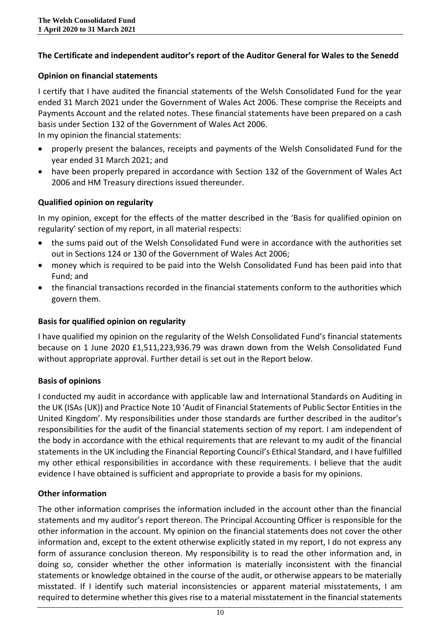# **The Certificate and independent auditor's report of the Auditor General for Wales to the Senedd**

### **Opinion on financial statements**

I certify that I have audited the financial statements of the Welsh Consolidated Fund for the year ended 31 March 2021 under the Government of Wales Act 2006. These comprise the Receipts and Payments Account and the related notes. These financial statements have been prepared on a cash basis under Section 132 of the Government of Wales Act 2006.

In my opinion the financial statements:

- properly present the balances, receipts and payments of the Welsh Consolidated Fund for the year ended 31 March 2021; and
- have been properly prepared in accordance with Section 132 of the Government of Wales Act 2006 and HM Treasury directions issued thereunder.

# **Qualified opinion on regularity**

In my opinion, except for the effects of the matter described in the 'Basis for qualified opinion on regularity' section of my report, in all material respects:

- the sums paid out of the Welsh Consolidated Fund were in accordance with the authorities set out in Sections 124 or 130 of the Government of Wales Act 2006;
- money which is required to be paid into the Welsh Consolidated Fund has been paid into that Fund; and
- the financial transactions recorded in the financial statements conform to the authorities which govern them.

# **Basis for qualified opinion on regularity**

I have qualified my opinion on the regularity of the Welsh Consolidated Fund's financial statements because on 1 June 2020 £1,511,223,936.79 was drawn down from the Welsh Consolidated Fund without appropriate approval. Further detail is set out in the Report below.

# **Basis of opinions**

I conducted my audit in accordance with applicable law and International Standards on Auditing in the UK (ISAs (UK)) and Practice Note 10 'Audit of Financial Statements of Public Sector Entities in the United Kingdom'. My responsibilities under those standards are further described in the auditor's responsibilities for the audit of the financial statements section of my report. I am independent of the body in accordance with the ethical requirements that are relevant to my audit of the financial statements in the UK including the Financial Reporting Council's Ethical Standard, and I have fulfilled my other ethical responsibilities in accordance with these requirements. I believe that the audit evidence I have obtained is sufficient and appropriate to provide a basis for my opinions.

# **Other information**

The other information comprises the information included in the account other than the financial statements and my auditor's report thereon. The Principal Accounting Officer is responsible for the other information in the account. My opinion on the financial statements does not cover the other information and, except to the extent otherwise explicitly stated in my report, I do not express any form of assurance conclusion thereon. My responsibility is to read the other information and, in doing so, consider whether the other information is materially inconsistent with the financial statements or knowledge obtained in the course of the audit, or otherwise appears to be materially misstated. If I identify such material inconsistencies or apparent material misstatements, I am required to determine whether this gives rise to a material misstatement in the financial statements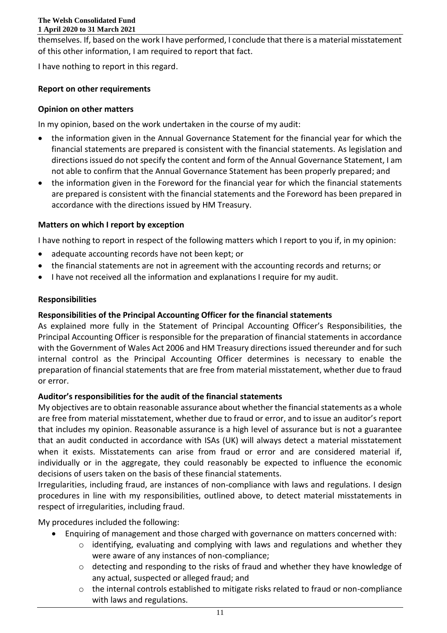themselves. If, based on the work I have performed, I conclude that there is a material misstatement of this other information, I am required to report that fact.

I have nothing to report in this regard.

# **Report on other requirements**

# **Opinion on other matters**

In my opinion, based on the work undertaken in the course of my audit:

- the information given in the Annual Governance Statement for the financial year for which the financial statements are prepared is consistent with the financial statements. As legislation and directions issued do not specify the content and form of the Annual Governance Statement, I am not able to confirm that the Annual Governance Statement has been properly prepared; and
- the information given in the Foreword for the financial year for which the financial statements are prepared is consistent with the financial statements and the Foreword has been prepared in accordance with the directions issued by HM Treasury.

# **Matters on which I report by exception**

I have nothing to report in respect of the following matters which I report to you if, in my opinion:

- adequate accounting records have not been kept; or
- the financial statements are not in agreement with the accounting records and returns; or
- I have not received all the information and explanations I require for my audit.

# **Responsibilities**

# **Responsibilities of the Principal Accounting Officer for the financial statements**

As explained more fully in the Statement of Principal Accounting Officer's Responsibilities, the Principal Accounting Officer is responsible for the preparation of financial statements in accordance with the Government of Wales Act 2006 and HM Treasury directions issued thereunder and for such internal control as the Principal Accounting Officer determines is necessary to enable the preparation of financial statements that are free from material misstatement, whether due to fraud or error.

# **Auditor's responsibilities for the audit of the financial statements**

My objectives are to obtain reasonable assurance about whether the financial statements as a whole are free from material misstatement, whether due to fraud or error, and to issue an auditor's report that includes my opinion. Reasonable assurance is a high level of assurance but is not a guarantee that an audit conducted in accordance with ISAs (UK) will always detect a material misstatement when it exists. Misstatements can arise from fraud or error and are considered material if, individually or in the aggregate, they could reasonably be expected to influence the economic decisions of users taken on the basis of these financial statements.

Irregularities, including fraud, are instances of non-compliance with laws and regulations. I design procedures in line with my responsibilities, outlined above, to detect material misstatements in respect of irregularities, including fraud.

My procedures included the following:

- Enquiring of management and those charged with governance on matters concerned with:
	- $\circ$  identifying, evaluating and complying with laws and regulations and whether they were aware of any instances of non-compliance;
	- o detecting and responding to the risks of fraud and whether they have knowledge of any actual, suspected or alleged fraud; and
	- o the internal controls established to mitigate risks related to fraud or non-compliance with laws and regulations.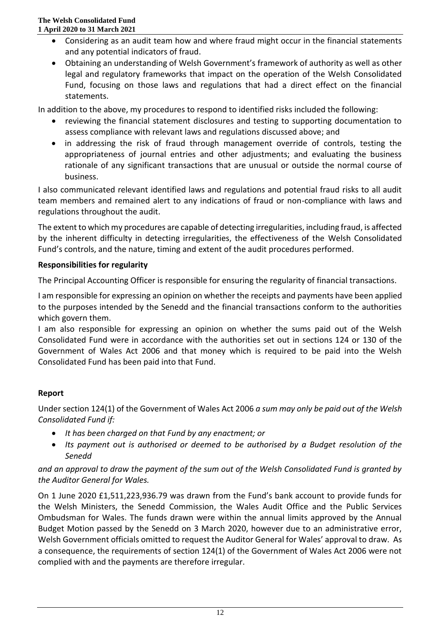- Considering as an audit team how and where fraud might occur in the financial statements and any potential indicators of fraud.
- Obtaining an understanding of Welsh Government's framework of authority as well as other legal and regulatory frameworks that impact on the operation of the Welsh Consolidated Fund, focusing on those laws and regulations that had a direct effect on the financial statements.

In addition to the above, my procedures to respond to identified risks included the following:

- reviewing the financial statement disclosures and testing to supporting documentation to assess compliance with relevant laws and regulations discussed above; and
- in addressing the risk of fraud through management override of controls, testing the appropriateness of journal entries and other adjustments; and evaluating the business rationale of any significant transactions that are unusual or outside the normal course of business.

I also communicated relevant identified laws and regulations and potential fraud risks to all audit team members and remained alert to any indications of fraud or non-compliance with laws and regulations throughout the audit.

The extent to which my procedures are capable of detecting irregularities, including fraud, is affected by the inherent difficulty in detecting irregularities, the effectiveness of the Welsh Consolidated Fund's controls, and the nature, timing and extent of the audit procedures performed.

# **Responsibilities for regularity**

The Principal Accounting Officer is responsible for ensuring the regularity of financial transactions.

I am responsible for expressing an opinion on whether the receipts and payments have been applied to the purposes intended by the Senedd and the financial transactions conform to the authorities which govern them.

I am also responsible for expressing an opinion on whether the sums paid out of the Welsh Consolidated Fund were in accordance with the authorities set out in sections 124 or 130 of the Government of Wales Act 2006 and that money which is required to be paid into the Welsh Consolidated Fund has been paid into that Fund.

# **Report**

Under section 124(1) of the Government of Wales Act 2006 *a sum may only be paid out of the Welsh Consolidated Fund if:*

- *It has been charged on that Fund by any enactment; or*
- *Its payment out is authorised or deemed to be authorised by a Budget resolution of the Senedd*

# *and an approval to draw the payment of the sum out of the Welsh Consolidated Fund is granted by the Auditor General for Wales.*

On 1 June 2020 £1,511,223,936.79 was drawn from the Fund's bank account to provide funds for the Welsh Ministers, the Senedd Commission, the Wales Audit Office and the Public Services Ombudsman for Wales. The funds drawn were within the annual limits approved by the Annual Budget Motion passed by the Senedd on 3 March 2020, however due to an administrative error, Welsh Government officials omitted to request the Auditor General for Wales' approval to draw. As a consequence, the requirements of section 124(1) of the Government of Wales Act 2006 were not complied with and the payments are therefore irregular.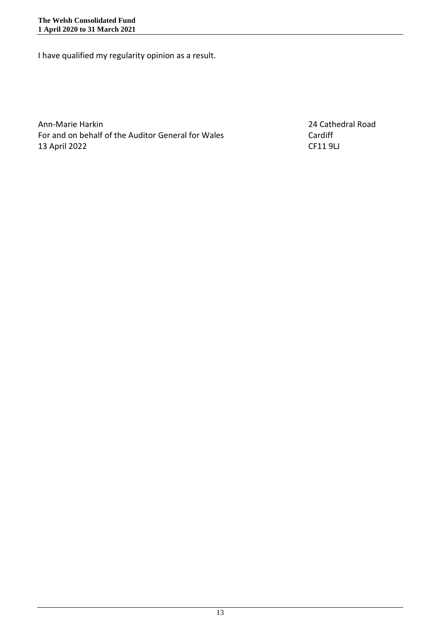I have qualified my regularity opinion as a result.

Ann-Marie Harkin 24 Cathedral Road For and on behalf of the Auditor General for Wales Cardiff 13 April 2022 CF11 9LJ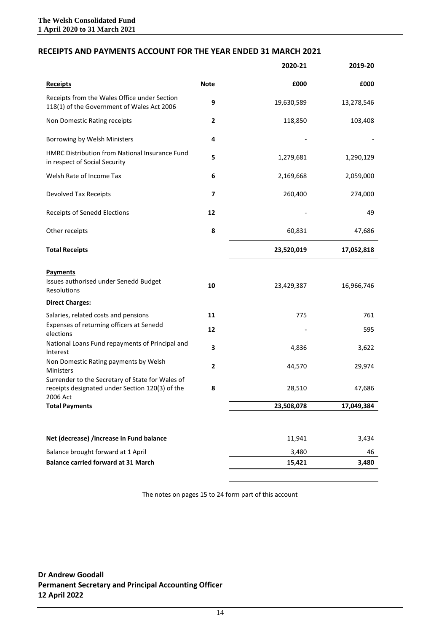#### **RECEIPTS AND PAYMENTS ACCOUNT FOR THE YEAR ENDED 31 MARCH 2021**

|                                                                                                                 |              | 2020-21    | 2019-20    |
|-----------------------------------------------------------------------------------------------------------------|--------------|------------|------------|
| <b>Receipts</b>                                                                                                 | <b>Note</b>  | £000       | £000       |
| Receipts from the Wales Office under Section<br>118(1) of the Government of Wales Act 2006                      | 9            | 19,630,589 | 13,278,546 |
| Non Domestic Rating receipts                                                                                    | $\mathbf{2}$ | 118,850    | 103,408    |
| Borrowing by Welsh Ministers                                                                                    | 4            |            |            |
| HMRC Distribution from National Insurance Fund<br>in respect of Social Security                                 | 5            | 1,279,681  | 1,290,129  |
| Welsh Rate of Income Tax                                                                                        | 6            | 2,169,668  | 2,059,000  |
| Devolved Tax Receipts                                                                                           | 7            | 260,400    | 274,000    |
| Receipts of Senedd Elections                                                                                    | 12           |            | 49         |
| Other receipts                                                                                                  | 8            | 60,831     | 47,686     |
| <b>Total Receipts</b>                                                                                           |              | 23,520,019 | 17,052,818 |
| <b>Payments</b><br>Issues authorised under Senedd Budget<br>Resolutions                                         | 10           | 23,429,387 | 16,966,746 |
| <b>Direct Charges:</b><br>Salaries, related costs and pensions                                                  | 11           | 775        | 761        |
| Expenses of returning officers at Senedd<br>elections                                                           | 12           |            | 595        |
| National Loans Fund repayments of Principal and<br>Interest                                                     | 3            | 4,836      | 3,622      |
| Non Domestic Rating payments by Welsh<br>Ministers                                                              | 2            | 44,570     | 29,974     |
| Surrender to the Secretary of State for Wales of<br>receipts designated under Section 120(3) of the<br>2006 Act | 8            | 28,510     | 47,686     |
| <b>Total Payments</b>                                                                                           |              | 23,508,078 | 17,049,384 |
|                                                                                                                 |              |            |            |
| Net (decrease) /increase in Fund balance                                                                        |              | 11,941     | 3,434      |
| Balance brought forward at 1 April                                                                              |              | 3,480      | 46         |
| <b>Balance carried forward at 31 March</b>                                                                      |              | 15,421     | 3,480      |

The notes on pages 15 to 24 form part of this account

**Dr Andrew Goodall Permanent Secretary and Principal Accounting Officer 12 April 2022**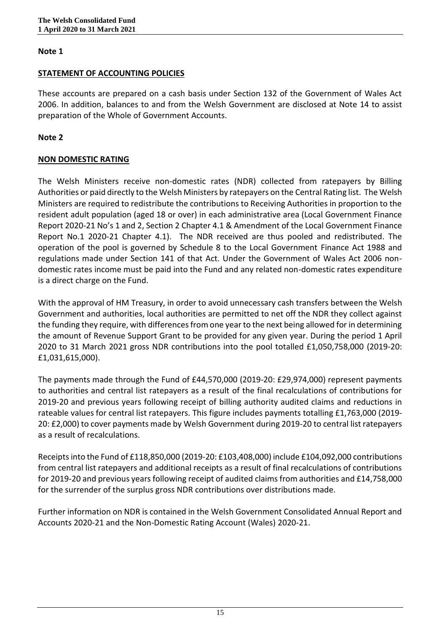### **STATEMENT OF ACCOUNTING POLICIES**

These accounts are prepared on a cash basis under Section 132 of the Government of Wales Act 2006. In addition, balances to and from the Welsh Government are disclosed at Note 14 to assist preparation of the Whole of Government Accounts.

### **Note 2**

# **NON DOMESTIC RATING**

The Welsh Ministers receive non-domestic rates (NDR) collected from ratepayers by Billing Authorities or paid directly to the Welsh Ministers by ratepayers on the Central Rating list. The Welsh Ministers are required to redistribute the contributions to Receiving Authorities in proportion to the resident adult population (aged 18 or over) in each administrative area (Local Government Finance Report 2020-21 No's 1 and 2, Section 2 Chapter 4.1 & Amendment of the Local Government Finance Report No.1 2020-21 Chapter 4.1). The NDR received are thus pooled and redistributed. The operation of the pool is governed by Schedule 8 to the Local Government Finance Act 1988 and regulations made under Section 141 of that Act. Under the Government of Wales Act 2006 nondomestic rates income must be paid into the Fund and any related non-domestic rates expenditure is a direct charge on the Fund.

With the approval of HM Treasury, in order to avoid unnecessary cash transfers between the Welsh Government and authorities, local authorities are permitted to net off the NDR they collect against the funding they require, with differences from one year to the next being allowed for in determining the amount of Revenue Support Grant to be provided for any given year. During the period 1 April 2020 to 31 March 2021 gross NDR contributions into the pool totalled £1,050,758,000 (2019-20: £1,031,615,000).

The payments made through the Fund of £44,570,000 (2019-20: £29,974,000) represent payments to authorities and central list ratepayers as a result of the final recalculations of contributions for 2019-20 and previous years following receipt of billing authority audited claims and reductions in rateable values for central list ratepayers. This figure includes payments totalling £1,763,000 (2019- 20: £2,000) to cover payments made by Welsh Government during 2019-20 to central list ratepayers as a result of recalculations.

Receipts into the Fund of £118,850,000 (2019-20: £103,408,000) include £104,092,000 contributions from central list ratepayers and additional receipts as a result of final recalculations of contributions for 2019-20 and previous years following receipt of audited claims from authorities and £14,758,000 for the surrender of the surplus gross NDR contributions over distributions made.

Further information on NDR is contained in the Welsh Government Consolidated Annual Report and Accounts 2020-21 and the Non-Domestic Rating Account (Wales) 2020-21.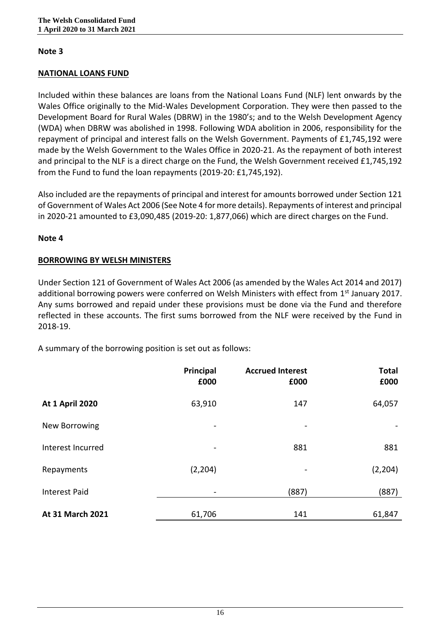# **NATIONAL LOANS FUND**

Included within these balances are loans from the National Loans Fund (NLF) lent onwards by the Wales Office originally to the Mid-Wales Development Corporation. They were then passed to the Development Board for Rural Wales (DBRW) in the 1980's; and to the Welsh Development Agency (WDA) when DBRW was abolished in 1998. Following WDA abolition in 2006, responsibility for the repayment of principal and interest falls on the Welsh Government. Payments of £1,745,192 were made by the Welsh Government to the Wales Office in 2020-21. As the repayment of both interest and principal to the NLF is a direct charge on the Fund, the Welsh Government received £1,745,192 from the Fund to fund the loan repayments (2019-20: £1,745,192).

Also included are the repayments of principal and interest for amounts borrowed under Section 121 of Government of Wales Act 2006 (See Note 4 for more details). Repayments of interest and principal in 2020-21 amounted to £3,090,485 (2019-20: 1,877,066) which are direct charges on the Fund.

### **Note 4**

### **BORROWING BY WELSH MINISTERS**

Under Section 121 of Government of Wales Act 2006 (as amended by the Wales Act 2014 and 2017) additional borrowing powers were conferred on Welsh Ministers with effect from 1<sup>st</sup> January 2017. Any sums borrowed and repaid under these provisions must be done via the Fund and therefore reflected in these accounts. The first sums borrowed from the NLF were received by the Fund in 2018-19.

A summary of the borrowing position is set out as follows:

|                        | Principal<br>£000 | <b>Accrued Interest</b><br>£000                                                                       | <b>Total</b><br>£000 |
|------------------------|-------------------|-------------------------------------------------------------------------------------------------------|----------------------|
| <b>At 1 April 2020</b> | 63,910            | 147                                                                                                   | 64,057               |
| New Borrowing          | -                 | $\hskip1.6pt\hskip1.6pt\hskip1.6pt\hskip1.6pt\hskip1.6pt\hskip1.6pt\hskip1.6pt\hskip1.6pt\hskip1.6pt$ |                      |
| Interest Incurred      |                   | 881                                                                                                   | 881                  |
| Repayments             | (2, 204)          | -                                                                                                     | (2, 204)             |
| <b>Interest Paid</b>   | -                 | (887)                                                                                                 | (887)                |
| At 31 March 2021       | 61,706            | 141                                                                                                   | 61,847               |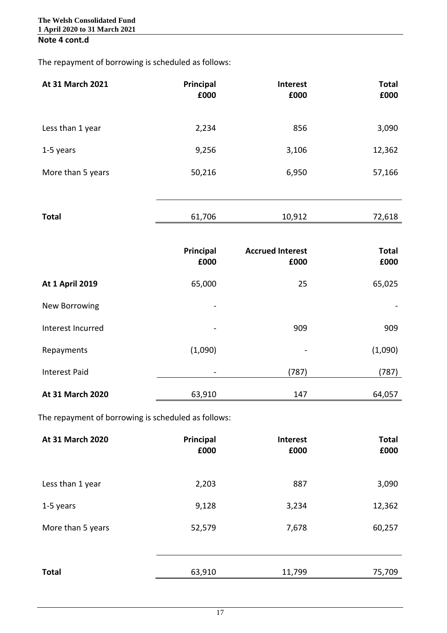# **Note 4 cont.d**

The repayment of borrowing is scheduled as follows:

| At 31 March 2021       | Principal<br>£000 | <b>Interest</b><br>£000 | <b>Total</b><br>£000 |
|------------------------|-------------------|-------------------------|----------------------|
| Less than 1 year       | 2,234             | 856                     | 3,090                |
| 1-5 years              | 9,256             | 3,106                   | 12,362               |
| More than 5 years      | 50,216            | 6,950                   | 57,166               |
|                        |                   |                         |                      |
| <b>Total</b>           | 61,706            | 10,912                  | 72,618               |
|                        |                   |                         |                      |
|                        | Principal         | <b>Accrued Interest</b> | <b>Total</b>         |
|                        | £000              | £000                    | £000                 |
| <b>At 1 April 2019</b> | 65,000            | 25                      | 65,025               |
| New Borrowing          |                   |                         |                      |
| Interest Incurred      |                   | 909                     | 909                  |
| Repayments             | (1,090)           |                         | (1,090)              |
|                        |                   |                         |                      |
| <b>Interest Paid</b>   |                   | (787)                   | (787)                |

The repayment of borrowing is scheduled as follows:

| At 31 March 2020  | Principal<br>£000 | Interest<br>£000 | <b>Total</b><br>£000 |
|-------------------|-------------------|------------------|----------------------|
| Less than 1 year  | 2,203             | 887              | 3,090                |
| 1-5 years         | 9,128             | 3,234            | 12,362               |
| More than 5 years | 52,579            | 7,678            | 60,257               |
|                   |                   |                  |                      |
| <b>Total</b>      | 63,910            | 11,799           | 75,709               |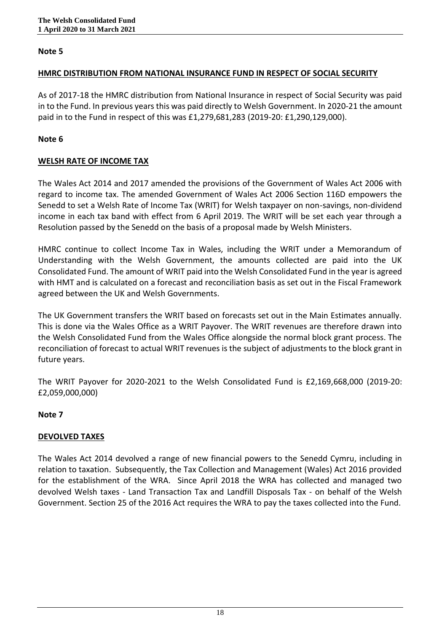### **HMRC DISTRIBUTION FROM NATIONAL INSURANCE FUND IN RESPECT OF SOCIAL SECURITY**

As of 2017-18 the HMRC distribution from National Insurance in respect of Social Security was paid in to the Fund. In previous years this was paid directly to Welsh Government. In 2020-21 the amount paid in to the Fund in respect of this was £1,279,681,283 (2019-20: £1,290,129,000).

### **Note 6**

# **WELSH RATE OF INCOME TAX**

The Wales Act 2014 and 2017 amended the provisions of the Government of Wales Act 2006 with regard to income tax. The amended Government of Wales Act 2006 Section 116D empowers the Senedd to set a Welsh Rate of Income Tax (WRIT) for Welsh taxpayer on non-savings, non-dividend income in each tax band with effect from 6 April 2019. The WRIT will be set each year through a Resolution passed by the Senedd on the basis of a proposal made by Welsh Ministers.

HMRC continue to collect Income Tax in Wales, including the WRIT under a Memorandum of Understanding with the Welsh Government, the amounts collected are paid into the UK Consolidated Fund. The amount of WRIT paid into the Welsh Consolidated Fund in the year is agreed with HMT and is calculated on a forecast and reconciliation basis as set out in the Fiscal Framework agreed between the UK and Welsh Governments.

The UK Government transfers the WRIT based on forecasts set out in the Main Estimates annually. This is done via the Wales Office as a WRIT Payover. The WRIT revenues are therefore drawn into the Welsh Consolidated Fund from the Wales Office alongside the normal block grant process. The reconciliation of forecast to actual WRIT revenues is the subject of adjustments to the block grant in future years.

The WRIT Payover for 2020-2021 to the Welsh Consolidated Fund is £2,169,668,000 (2019-20: £2,059,000,000)

# **Note 7**

# **DEVOLVED TAXES**

The Wales Act 2014 devolved a range of new financial powers to the Senedd Cymru, including in relation to taxation. Subsequently, the Tax Collection and Management (Wales) Act 2016 provided for the establishment of the WRA. Since April 2018 the WRA has collected and managed two devolved Welsh taxes - Land Transaction Tax and Landfill Disposals Tax - on behalf of the Welsh Government. Section 25 of the 2016 Act requires the WRA to pay the taxes collected into the Fund.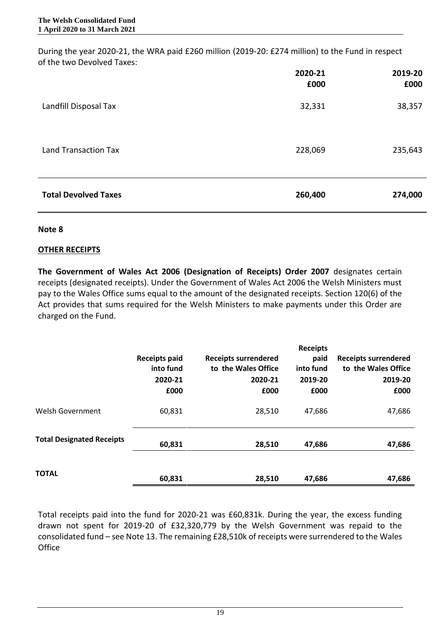During the year 2020-21, the WRA paid £260 million (2019-20: £274 million) to the Fund in respect of the two Devolved Taxes:

|                             | 2020-21<br>£000 | 2019-20<br>£000 |
|-----------------------------|-----------------|-----------------|
| Landfill Disposal Tax       | 32,331          | 38,357          |
| <b>Land Transaction Tax</b> | 228,069         | 235,643         |
| <b>Total Devolved Taxes</b> | 260,400         | 274,000         |

### **Note 8**

### **OTHER RECEIPTS**

**The Government of Wales Act 2006 (Designation of Receipts) Order 2007** designates certain receipts (designated receipts). Under the Government of Wales Act 2006 the Welsh Ministers must pay to the Wales Office sums equal to the amount of the designated receipts. Section 120(6) of the Act provides that sums required for the Welsh Ministers to make payments under this Order are charged on the Fund.

|                                  | <b>Receipts paid</b><br>into fund<br>2020-21<br>£000 | <b>Receipts surrendered</b><br>to the Wales Office<br>2020-21<br>£000 | <b>Receipts</b><br>paid<br>into fund<br>2019-20<br>£000 | <b>Receipts surrendered</b><br>to the Wales Office<br>2019-20<br>£000 |
|----------------------------------|------------------------------------------------------|-----------------------------------------------------------------------|---------------------------------------------------------|-----------------------------------------------------------------------|
| Welsh Government                 | 60,831                                               | 28,510                                                                | 47,686                                                  | 47,686                                                                |
| <b>Total Designated Receipts</b> | 60,831                                               | 28,510                                                                | 47,686                                                  | 47,686                                                                |
| <b>TOTAL</b>                     | 60,831                                               | 28,510                                                                | 47,686                                                  | 47,686                                                                |

Total receipts paid into the fund for 2020-21 was £60,831k. During the year, the excess funding drawn not spent for 2019-20 of £32,320,779 by the Welsh Government was repaid to the consolidated fund – see Note 13. The remaining £28,510k of receipts were surrendered to the Wales **Office**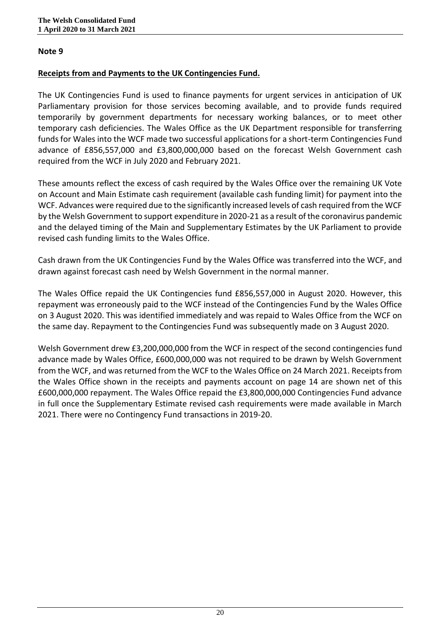### **Receipts from and Payments to the UK Contingencies Fund.**

The UK Contingencies Fund is used to finance payments for urgent services in anticipation of UK Parliamentary provision for those services becoming available, and to provide funds required temporarily by government departments for necessary working balances, or to meet other temporary cash deficiencies. The Wales Office as the UK Department responsible for transferring funds for Wales into the WCF made two successful applications for a short-term Contingencies Fund advance of £856,557,000 and £3,800,000,000 based on the forecast Welsh Government cash required from the WCF in July 2020 and February 2021.

These amounts reflect the excess of cash required by the Wales Office over the remaining UK Vote on Account and Main Estimate cash requirement (available cash funding limit) for payment into the WCF. Advances were required due to the significantly increased levels of cash required from the WCF by the Welsh Government to support expenditure in 2020-21 as a result of the coronavirus pandemic and the delayed timing of the Main and Supplementary Estimates by the UK Parliament to provide revised cash funding limits to the Wales Office.

Cash drawn from the UK Contingencies Fund by the Wales Office was transferred into the WCF, and drawn against forecast cash need by Welsh Government in the normal manner.

The Wales Office repaid the UK Contingencies fund £856,557,000 in August 2020. However, this repayment was erroneously paid to the WCF instead of the Contingencies Fund by the Wales Office on 3 August 2020. This was identified immediately and was repaid to Wales Office from the WCF on the same day. Repayment to the Contingencies Fund was subsequently made on 3 August 2020.

Welsh Government drew £3,200,000,000 from the WCF in respect of the second contingencies fund advance made by Wales Office, £600,000,000 was not required to be drawn by Welsh Government from the WCF, and was returned from the WCF to the Wales Office on 24 March 2021. Receipts from the Wales Office shown in the receipts and payments account on page 14 are shown net of this £600,000,000 repayment. The Wales Office repaid the £3,800,000,000 Contingencies Fund advance in full once the Supplementary Estimate revised cash requirements were made available in March 2021. There were no Contingency Fund transactions in 2019-20.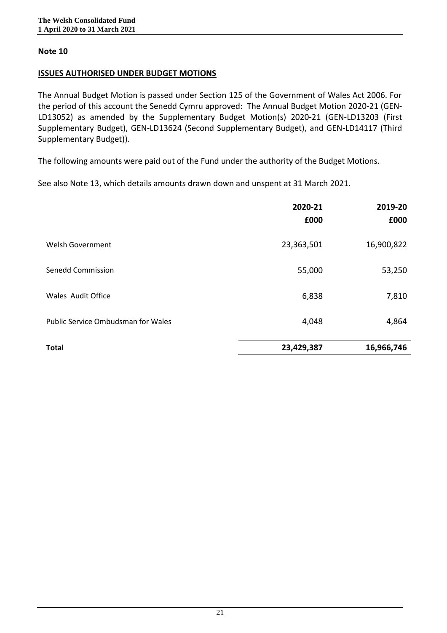### **ISSUES AUTHORISED UNDER BUDGET MOTIONS**

The Annual Budget Motion is passed under Section 125 of the Government of Wales Act 2006. For the period of this account the Senedd Cymru approved: The Annual Budget Motion 2020-21 (GEN-LD13052) as amended by the Supplementary Budget Motion(s) 2020-21 (GEN-LD13203 (First Supplementary Budget), GEN-LD13624 (Second Supplementary Budget), and GEN-LD14117 (Third Supplementary Budget)).

The following amounts were paid out of the Fund under the authority of the Budget Motions.

See also Note 13, which details amounts drawn down and unspent at 31 March 2021.

|                                           | 2020-21<br>£000 | 2019-20<br>£000 |
|-------------------------------------------|-----------------|-----------------|
| Welsh Government                          | 23,363,501      | 16,900,822      |
| <b>Senedd Commission</b>                  | 55,000          | 53,250          |
| <b>Wales Audit Office</b>                 | 6,838           | 7,810           |
| <b>Public Service Ombudsman for Wales</b> | 4,048           | 4,864           |
| <b>Total</b>                              | 23,429,387      | 16,966,746      |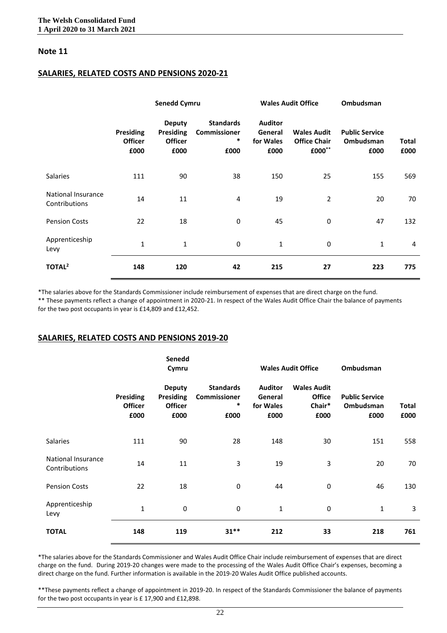#### **SALARIES, RELATED COSTS AND PENSIONS 2020-21**

|                                     | <b>Senedd Cymru</b>                        |                                                             |                                                    | <b>Wales Audit Office</b>                      |                                                     | Ombudsman                                         |                |
|-------------------------------------|--------------------------------------------|-------------------------------------------------------------|----------------------------------------------------|------------------------------------------------|-----------------------------------------------------|---------------------------------------------------|----------------|
|                                     | <b>Presiding</b><br><b>Officer</b><br>£000 | <b>Deputy</b><br><b>Presiding</b><br><b>Officer</b><br>£000 | <b>Standards</b><br>Commissioner<br>$\ast$<br>£000 | <b>Auditor</b><br>General<br>for Wales<br>£000 | <b>Wales Audit</b><br><b>Office Chair</b><br>£000** | <b>Public Service</b><br><b>Ombudsman</b><br>£000 | Total<br>£000  |
| Salaries                            | 111                                        | 90                                                          | 38                                                 | 150                                            | 25                                                  | 155                                               | 569            |
| National Insurance<br>Contributions | 14                                         | 11                                                          | 4                                                  | 19                                             | $\overline{2}$                                      | 20                                                | 70             |
| <b>Pension Costs</b>                | 22                                         | 18                                                          | 0                                                  | 45                                             | 0                                                   | 47                                                | 132            |
| Apprenticeship<br>Levy              | $\mathbf 1$                                | 1                                                           | 0                                                  | 1                                              | 0                                                   | $\mathbf{1}$                                      | $\overline{4}$ |
| TOTAL <sup>2</sup>                  | 148                                        | 120                                                         | 42                                                 | 215                                            | 27                                                  | 223                                               | 775            |

\*The salaries above for the Standards Commissioner include reimbursement of expenses that are direct charge on the fund. \*\* These payments reflect a change of appointment in 2020-21. In respect of the Wales Audit Office Chair the balance of payments for the two post occupants in year is £14,809 and £12,452.

#### **SALARIES, RELATED COSTS AND PENSIONS 2019-20**

|                                     |                                     | Senedd<br>Cymru                                             |                                               | <b>Wales Audit Office</b>                      |                                                       | Ombudsman                                  |                      |
|-------------------------------------|-------------------------------------|-------------------------------------------------------------|-----------------------------------------------|------------------------------------------------|-------------------------------------------------------|--------------------------------------------|----------------------|
|                                     | Presiding<br><b>Officer</b><br>£000 | <b>Deputy</b><br><b>Presiding</b><br><b>Officer</b><br>£000 | <b>Standards</b><br>Commissioner<br>∗<br>£000 | <b>Auditor</b><br>General<br>for Wales<br>£000 | <b>Wales Audit</b><br><b>Office</b><br>Chair*<br>£000 | <b>Public Service</b><br>Ombudsman<br>£000 | <b>Total</b><br>£000 |
| <b>Salaries</b>                     | 111                                 | 90                                                          | 28                                            | 148                                            | 30                                                    | 151                                        | 558                  |
| National Insurance<br>Contributions | 14                                  | 11                                                          | 3                                             | 19                                             | 3                                                     | 20                                         | 70                   |
| <b>Pension Costs</b>                | 22                                  | 18                                                          | 0                                             | 44                                             | 0                                                     | 46                                         | 130                  |
| Apprenticeship<br>Levy              | $\mathbf{1}$                        | 0                                                           | 0                                             | $\mathbf{1}$                                   | 0                                                     | $\mathbf{1}$                               | 3                    |
| <b>TOTAL</b>                        | 148                                 | 119                                                         | $31**$                                        | 212                                            | 33                                                    | 218                                        | 761                  |

\*The salaries above for the Standards Commissioner and Wales Audit Office Chair include reimbursement of expenses that are direct charge on the fund. During 2019-20 changes were made to the processing of the Wales Audit Office Chair's expenses, becoming a direct charge on the fund. Further information is available in the 2019-20 Wales Audit Office published accounts.

\*\*These payments reflect a change of appointment in 2019-20. In respect of the Standards Commissioner the balance of payments for the two post occupants in year is £ 17,900 and £12,898.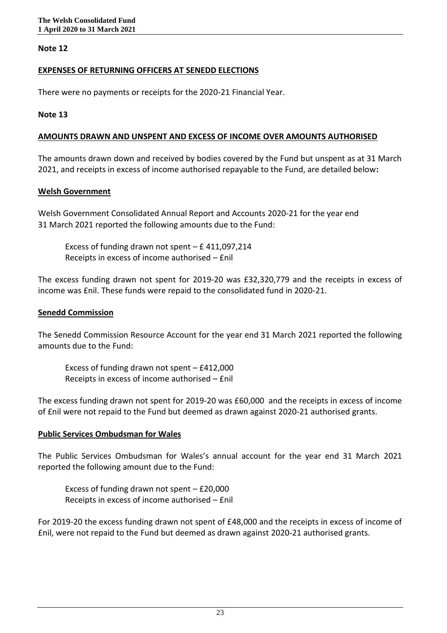### **EXPENSES OF RETURNING OFFICERS AT SENEDD ELECTIONS**

There were no payments or receipts for the 2020-21 Financial Year.

### **Note 13**

### **AMOUNTS DRAWN AND UNSPENT AND EXCESS OF INCOME OVER AMOUNTS AUTHORISED**

The amounts drawn down and received by bodies covered by the Fund but unspent as at 31 March 2021, and receipts in excess of income authorised repayable to the Fund, are detailed below**:**

### **Welsh Government**

Welsh Government Consolidated Annual Report and Accounts 2020-21 for the year end 31 March 2021 reported the following amounts due to the Fund:

Excess of funding drawn not spent  $-$  £ 411,097,214 Receipts in excess of income authorised – £nil

The excess funding drawn not spent for 2019-20 was £32,320,779 and the receipts in excess of income was £nil. These funds were repaid to the consolidated fund in 2020-21.

### **Senedd Commission**

The Senedd Commission Resource Account for the year end 31 March 2021 reported the following amounts due to the Fund:

Excess of funding drawn not spent – £412,000 Receipts in excess of income authorised – £nil

The excess funding drawn not spent for 2019-20 was £60,000 and the receipts in excess of income of £nil were not repaid to the Fund but deemed as drawn against 2020-21 authorised grants.

# **Public Services Ombudsman for Wales**

The Public Services Ombudsman for Wales's annual account for the year end 31 March 2021 reported the following amount due to the Fund:

Excess of funding drawn not spent – £20,000 Receipts in excess of income authorised – £nil

For 2019-20 the excess funding drawn not spent of £48,000 and the receipts in excess of income of £nil, were not repaid to the Fund but deemed as drawn against 2020-21 authorised grants.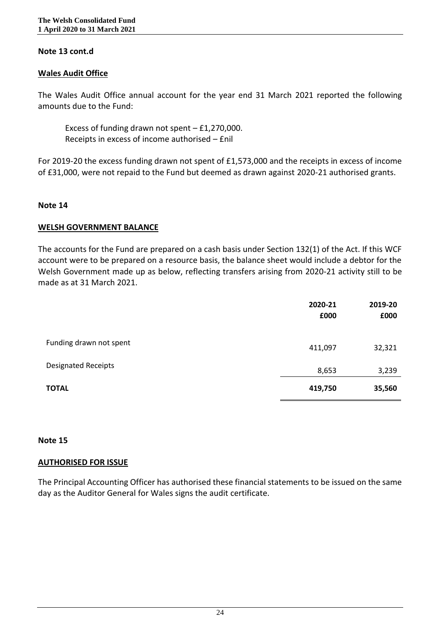### **Note 13 cont.d**

### **Wales Audit Office**

The Wales Audit Office annual account for the year end 31 March 2021 reported the following amounts due to the Fund:

Excess of funding drawn not spent  $-$  £1,270,000. Receipts in excess of income authorised – £nil

For 2019-20 the excess funding drawn not spent of £1,573,000 and the receipts in excess of income of £31,000, were not repaid to the Fund but deemed as drawn against 2020-21 authorised grants.

#### **Note 14**

#### **WELSH GOVERNMENT BALANCE**

The accounts for the Fund are prepared on a cash basis under Section 132(1) of the Act. If this WCF account were to be prepared on a resource basis, the balance sheet would include a debtor for the Welsh Government made up as below, reflecting transfers arising from 2020-21 activity still to be made as at 31 March 2021.

|                            | 2020-21<br>£000 | 2019-20<br>£000 |
|----------------------------|-----------------|-----------------|
| Funding drawn not spent    | 411,097         | 32,321          |
| <b>Designated Receipts</b> | 8,653           | 3,239           |
| <b>TOTAL</b>               | 419,750         | 35,560          |

#### **Note 15**

#### **AUTHORISED FOR ISSUE**

The Principal Accounting Officer has authorised these financial statements to be issued on the same day as the Auditor General for Wales signs the audit certificate.